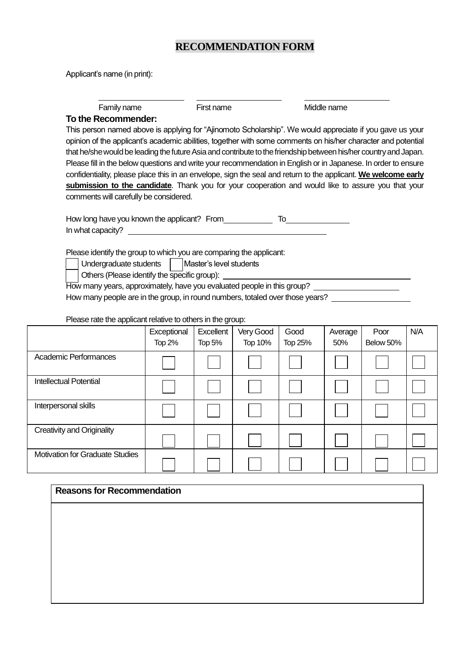## **RECOMMENDATION FORM**

Applicant's name (in print):

Family name First name First name Middle name

## **To the Recommender:**

This person named above is applying for "Ajinomoto Scholarship". We would appreciate if you gave us your opinion of the applicant's academic abilities, together with some comments on his/her character and potential that he/she would be leading the future Asia and contribute to the friendship between his/her country and Japan. Please fill in the below questions and write your recommendation in English or in Japanese. In order to ensure confidentiality, please place this in an envelope, sign the seal and return to the applicant. **We welcome early submission to the candidate**. Thank you for your cooperation and would like to assure you that your comments will carefully be considered.

How long have you known the applicant? From To In what capacity?

Please identify the group to which you are comparing the applicant:

Undergraduate students | | Master's level students

Others (Please identify the specific group):

How many years, approximately, have you evaluated people in this group?

How many people are in the group, in round numbers, totaled over those years?

## Please rate the applicant relative to others in the group:

|                                        | Exceptional<br>Top 2% | Excellent<br><b>Top 5%</b> | Very Good<br>Top 10% | Good<br><b>Top 25%</b> | Average<br>50% | Poor<br>Below 50% | N/A |
|----------------------------------------|-----------------------|----------------------------|----------------------|------------------------|----------------|-------------------|-----|
| <b>Academic Performances</b>           |                       |                            |                      |                        |                |                   |     |
| <b>Intellectual Potential</b>          |                       |                            |                      |                        |                |                   |     |
| Interpersonal skills                   |                       |                            |                      |                        |                |                   |     |
| <b>Creativity and Originality</b>      |                       |                            |                      |                        |                |                   |     |
| <b>Motivation for Graduate Studies</b> |                       |                            |                      |                        |                |                   |     |

## **Reasons for Recommendation**